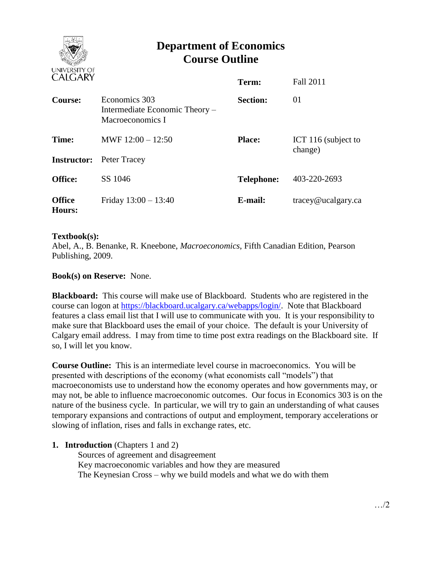

# **Department of Economics Course Outline**

| CALUANI                 |                                                                     | Term:             | Fall 2011                      |
|-------------------------|---------------------------------------------------------------------|-------------------|--------------------------------|
| Course:                 | Economics 303<br>Intermediate Economic Theory –<br>Macroeconomics I | <b>Section:</b>   | 01                             |
| Time:                   | MWF $12:00 - 12:50$                                                 | <b>Place:</b>     | ICT 116 (subject to<br>change) |
| <b>Instructor:</b>      | Peter Tracey                                                        |                   |                                |
| <b>Office:</b>          | SS 1046                                                             | <b>Telephone:</b> | 403-220-2693                   |
| <b>Office</b><br>Hours: | Friday $13:00 - 13:40$                                              | E-mail:           | $trace\$ <i>e</i> ucalgary.ca  |

#### **Textbook(s):**

Abel, A., B. Benanke, R. Kneebone, *Macroeconomics*, Fifth Canadian Edition, Pearson Publishing, 2009.

## **Book(s) on Reserve:** None.

**Blackboard:** This course will make use of Blackboard. Students who are registered in the course can logon at [https://blackboard.ucalgary.ca/webapps/login/.](https://blackboard.ucalgary.ca/webapps/login/) Note that Blackboard features a class email list that I will use to communicate with you. It is your responsibility to make sure that Blackboard uses the email of your choice. The default is your University of Calgary email address. I may from time to time post extra readings on the Blackboard site. If so, I will let you know.

**Course Outline:** This is an intermediate level course in macroeconomics. You will be presented with descriptions of the economy (what economists call "models") that macroeconomists use to understand how the economy operates and how governments may, or may not, be able to influence macroeconomic outcomes. Our focus in Economics 303 is on the nature of the business cycle. In particular, we will try to gain an understanding of what causes temporary expansions and contractions of output and employment, temporary accelerations or slowing of inflation, rises and falls in exchange rates, etc.

#### **1. Introduction** (Chapters 1 and 2)

Sources of agreement and disagreement Key macroeconomic variables and how they are measured The Keynesian Cross – why we build models and what we do with them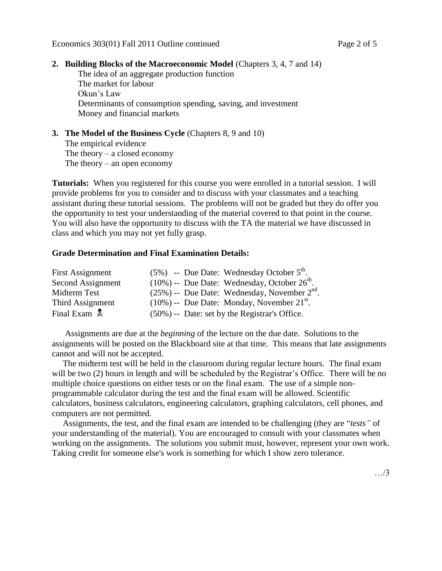## **2. Building Blocks of the Macroeconomic Model** (Chapters 3, 4, 7 and 14)

The idea of an aggregate production function The market for labour Okun's Law Determinants of consumption spending, saving, and investment Money and financial markets

#### **3. The Model of the Business Cycle** (Chapters 8, 9 and 10) The empirical evidence The theory  $-$  a closed economy The theory – an open economy

**Tutorials:** When you registered for this course you were enrolled in a tutorial session. I will provide problems for you to consider and to discuss with your classmates and a teaching assistant during these tutorial sessions. The problems will not be graded but they do offer you the opportunity to test your understanding of the material covered to that point in the course. You will also have the opportunity to discuss with the TA the material we have discussed in class and which you may not yet fully grasp.

#### **Grade Determination and Final Examination Details:**

| <b>First Assignment</b>  | $(5\%)$ -- Due Date: Wednesday October $5th$ .              |
|--------------------------|-------------------------------------------------------------|
| Second Assignment        | $(10\%)$ -- Due Date: Wednesday, October $26^{\text{th}}$ . |
| Midterm Test             | $(25\%)$ -- Due Date: Wednesday, November $2nd$ .           |
| Third Assignment         | $(10\%)$ -- Due Date: Monday, November 21 <sup>st</sup> .   |
| Final Exam $\frac{1}{2}$ | $(50\%)$ -- Date: set by the Registrar's Office.            |

 Assignments are due at the *beginning* of the lecture on the due date. Solutions to the assignments will be posted on the Blackboard site at that time. This means that late assignments cannot and will not be accepted.

 The midterm test will be held in the classroom during regular lecture hours. The final exam will be two (2) hours in length and will be scheduled by the Registrar's Office. There will be no multiple choice questions on either tests or on the final exam. The use of a simple nonprogrammable calculator during the test and the final exam will be allowed. Scientific calculators, business calculators, engineering calculators, graphing calculators, cell phones, and computers are not permitted.

 Assignments, the test, and the final exam are intended to be challenging (they are "*tests"* of your understanding of the material). You are encouraged to consult with your classmates when working on the assignments. The solutions you submit must, however, represent your own work. Taking credit for someone else's work is something for which I show zero tolerance.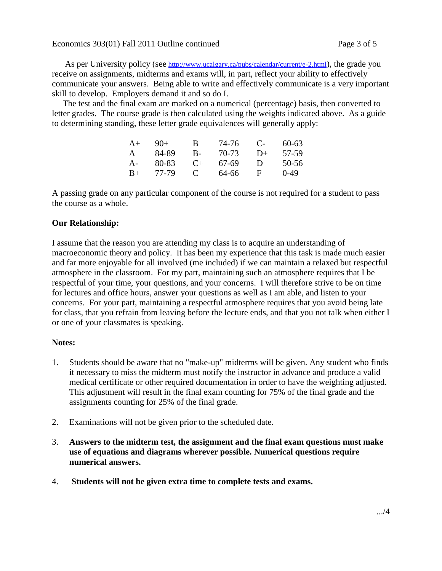As per University policy (see <http://www.ucalgary.ca/pubs/calendar/current/e-2.html>), the grade you receive on assignments, midterms and exams will, in part, reflect your ability to effectively communicate your answers. Being able to write and effectively communicate is a very important skill to develop. Employers demand it and so do I.

 The test and the final exam are marked on a numerical (percentage) basis, then converted to letter grades. The course grade is then calculated using the weights indicated above. As a guide to determining standing, these letter grade equivalences will generally apply:

| $A+$ | $9()+$ | В            | 74-76 | $\mathbf{C}$ | $60 - 63$ |
|------|--------|--------------|-------|--------------|-----------|
| A    | 84-89  | В-           | 70-73 | $D+$         | 57-59     |
| A-   | 80-83  | $($ +        | 67-69 | Ð            | 50-56     |
| $B+$ | 77-79  | $\mathbf{C}$ | 64-66 | н            | $0-49$    |

A passing grade on any particular component of the course is not required for a student to pass the course as a whole.

## **Our Relationship:**

I assume that the reason you are attending my class is to acquire an understanding of macroeconomic theory and policy. It has been my experience that this task is made much easier and far more enjoyable for all involved (me included) if we can maintain a relaxed but respectful atmosphere in the classroom. For my part, maintaining such an atmosphere requires that I be respectful of your time, your questions, and your concerns. I will therefore strive to be on time for lectures and office hours, answer your questions as well as I am able, and listen to your concerns. For your part, maintaining a respectful atmosphere requires that you avoid being late for class, that you refrain from leaving before the lecture ends, and that you not talk when either I or one of your classmates is speaking.

#### **Notes:**

- 1. Students should be aware that no "make-up" midterms will be given. Any student who finds it necessary to miss the midterm must notify the instructor in advance and produce a valid medical certificate or other required documentation in order to have the weighting adjusted. This adjustment will result in the final exam counting for 75% of the final grade and the assignments counting for 25% of the final grade.
- 2. Examinations will not be given prior to the scheduled date.
- 3. **Answers to the midterm test, the assignment and the final exam questions must make use of equations and diagrams wherever possible. Numerical questions require numerical answers.**
- 4. **Students will not be given extra time to complete tests and exams.**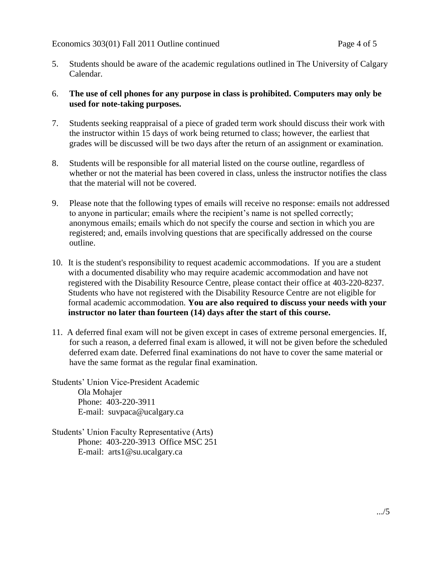5. Students should be aware of the academic regulations outlined in The University of Calgary Calendar.

## 6. **The use of cell phones for any purpose in class is prohibited. Computers may only be used for note-taking purposes.**

- 7. Students seeking reappraisal of a piece of graded term work should discuss their work with the instructor within 15 days of work being returned to class; however, the earliest that grades will be discussed will be two days after the return of an assignment or examination.
- 8. Students will be responsible for all material listed on the course outline, regardless of whether or not the material has been covered in class, unless the instructor notifies the class that the material will not be covered.
- 9. Please note that the following types of emails will receive no response: emails not addressed to anyone in particular; emails where the recipient's name is not spelled correctly; anonymous emails; emails which do not specify the course and section in which you are registered; and, emails involving questions that are specifically addressed on the course outline.
- 10. It is the student's responsibility to request academic accommodations. If you are a student with a documented disability who may require academic accommodation and have not registered with the Disability Resource Centre, please contact their office at 403-220-8237. Students who have not registered with the Disability Resource Centre are not eligible for formal academic accommodation. **You are also required to discuss your needs with your instructor no later than fourteen (14) days after the start of this course.**
- 11. A deferred final exam will not be given except in cases of extreme personal emergencies. If, for such a reason, a deferred final exam is allowed, it will not be given before the scheduled deferred exam date. Deferred final examinations do not have to cover the same material or have the same format as the regular final examination.

Students' Union Vice-President Academic Ola Mohajer Phone: 403-220-3911 E-mail: suvpaca@ucalgary.ca

Students' Union Faculty Representative (Arts) Phone: 403-220-3913 Office MSC 251 E-mail: arts1@su.ucalgary.ca